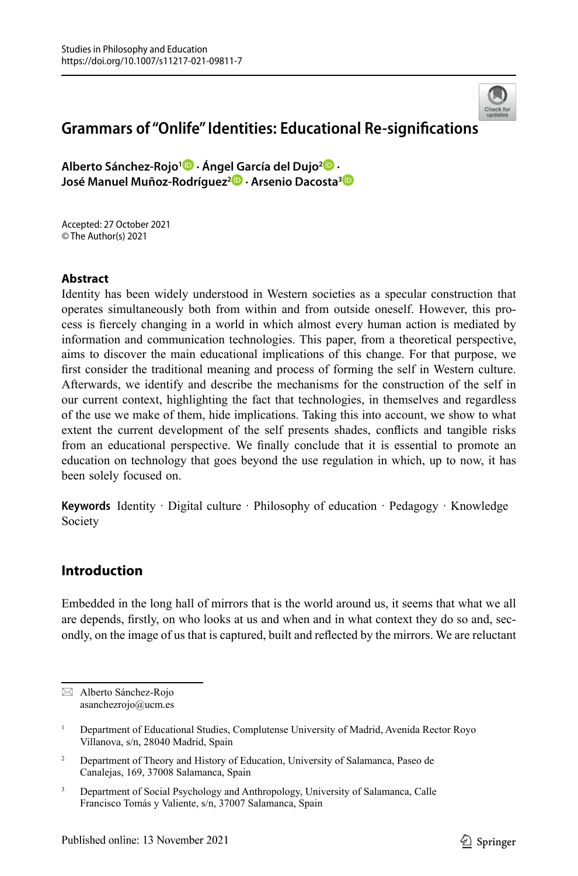

# **Grammars of "Onlife" Identities: Educational Re-signification[s](http://crossmark.crossref.org/dialog/?doi=10.1007/s11217-021-09811-7&domain=pdf&date_stamp=2021-11-10)**

**Alberto Sánchez-Rojo1  [·](http://orcid.org/0000-0003-2532-5867) Ángel García del Dujo2 · José Manuel Muñoz-Rodríguez2  [·](http://orcid.org/0000-0002-4688-6420) Arsenio Dacosta[3](http://orcid.org/0000-0002-3069-028X)**

Accepted: 27 October 2021 © The Author(s) 2021

#### **Abstract**

Identity has been widely understood in Western societies as a specular construction that operates simultaneously both from within and from outside oneself. However, this process is fiercely changing in a world in which almost every human action is mediated by information and communication technologies. This paper, from a theoretical perspective, aims to discover the main educational implications of this change. For that purpose, we first consider the traditional meaning and process of forming the self in Western culture. Afterwards, we identify and describe the mechanisms for the construction of the self in our current context, highlighting the fact that technologies, in themselves and regardless of the use we make of them, hide implications. Taking this into account, we show to what extent the current development of the self presents shades, conflicts and tangible risks from an educational perspective. We finally conclude that it is essential to promote an education on technology that goes beyond the use regulation in which, up to now, it has been solely focused on.

**Keywords** Identity · Digital culture · Philosophy of education · Pedagogy · Knowledge Society

## **Introduction**

Embedded in the long hall of mirrors that is the world around us, it seems that what we all are depends, firstly, on who looks at us and when and in what context they do so and, secondly, on the image of us that is captured, built and reflected by the mirrors. We are reluctant

 Alberto Sánchez-Rojo asanchezrojo@ucm.es

<sup>1</sup> Department of Educational Studies, Complutense University of Madrid, Avenida Rector Royo Villanova, s/n, 28040 Madrid, Spain

<sup>2</sup> Department of Theory and History of Education, University of Salamanca, Paseo de Canalejas, 169, 37008 Salamanca, Spain

<sup>&</sup>lt;sup>3</sup> Department of Social Psychology and Anthropology, University of Salamanca, Calle Francisco Tomás y Valiente, s/n, 37007 Salamanca, Spain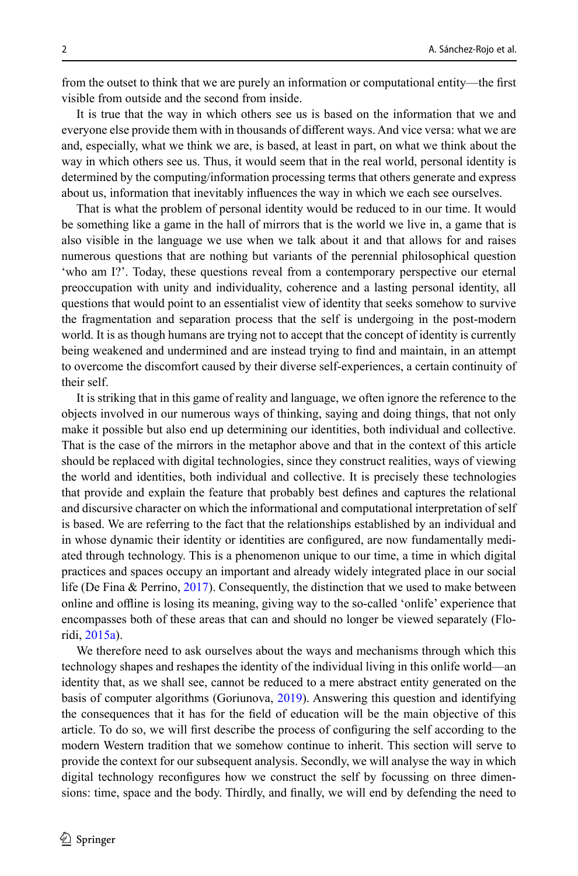from the outset to think that we are purely an information or computational entity—the first visible from outside and the second from inside.

It is true that the way in which others see us is based on the information that we and everyone else provide them with in thousands of different ways. And vice versa: what we are and, especially, what we think we are, is based, at least in part, on what we think about the way in which others see us. Thus, it would seem that in the real world, personal identity is determined by the computing/information processing terms that others generate and express about us, information that inevitably influences the way in which we each see ourselves.

That is what the problem of personal identity would be reduced to in our time. It would be something like a game in the hall of mirrors that is the world we live in, a game that is also visible in the language we use when we talk about it and that allows for and raises numerous questions that are nothing but variants of the perennial philosophical question 'who am I?'. Today, these questions reveal from a contemporary perspective our eternal preoccupation with unity and individuality, coherence and a lasting personal identity, all questions that would point to an essentialist view of identity that seeks somehow to survive the fragmentation and separation process that the self is undergoing in the post-modern world. It is as though humans are trying not to accept that the concept of identity is currently being weakened and undermined and are instead trying to find and maintain, in an attempt to overcome the discomfort caused by their diverse self-experiences, a certain continuity of their self.

It is striking that in this game of reality and language, we often ignore the reference to the objects involved in our numerous ways of thinking, saying and doing things, that not only make it possible but also end up determining our identities, both individual and collective. That is the case of the mirrors in the metaphor above and that in the context of this article should be replaced with digital technologies, since they construct realities, ways of viewing the world and identities, both individual and collective. It is precisely these technologies that provide and explain the feature that probably best defines and captures the relational and discursive character on which the informational and computational interpretation of self is based. We are referring to the fact that the relationships established by an individual and in whose dynamic their identity or identities are configured, are now fundamentally mediated through technology. This is a phenomenon unique to our time, a time in which digital practices and spaces occupy an important and already widely integrated place in our social life (De Fina & Perrino, [2017\)](#page-14-0). Consequently, the distinction that we used to make between online and offline is losing its meaning, giving way to the so-called 'onlife' experience that encompasses both of these areas that can and should no longer be viewed separately (Floridi, [2015a\)](#page-14-1).

We therefore need to ask ourselves about the ways and mechanisms through which this technology shapes and reshapes the identity of the individual living in this onlife world—an identity that, as we shall see, cannot be reduced to a mere abstract entity generated on the basis of computer algorithms (Goriunova, [2019\)](#page-15-0). Answering this question and identifying the consequences that it has for the field of education will be the main objective of this article. To do so, we will first describe the process of configuring the self according to the modern Western tradition that we somehow continue to inherit. This section will serve to provide the context for our subsequent analysis. Secondly, we will analyse the way in which digital technology reconfigures how we construct the self by focussing on three dimensions: time, space and the body. Thirdly, and finally, we will end by defending the need to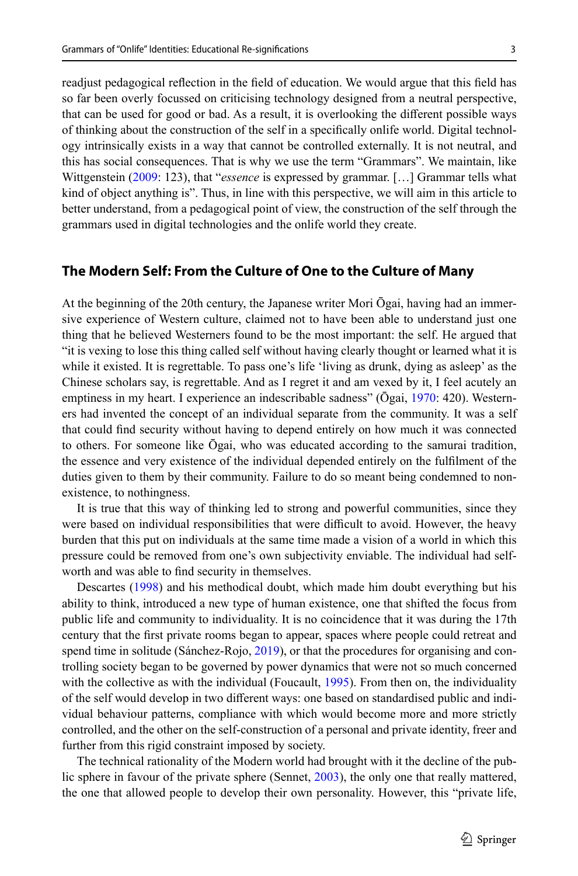readjust pedagogical reflection in the field of education. We would argue that this field has so far been overly focussed on criticising technology designed from a neutral perspective, that can be used for good or bad. As a result, it is overlooking the different possible ways of thinking about the construction of the self in a specifically onlife world. Digital technology intrinsically exists in a way that cannot be controlled externally. It is not neutral, and this has social consequences. That is why we use the term "Grammars". We maintain, like Wittgenstein ([2009](#page-16-0): 123), that "*essence* is expressed by grammar. […] Grammar tells what kind of object anything is". Thus, in line with this perspective, we will aim in this article to better understand, from a pedagogical point of view, the construction of the self through the grammars used in digital technologies and the onlife world they create.

### **The Modern Self: From the Culture of One to the Culture of Many**

At the beginning of the 20th century, the Japanese writer Mori Ōgai, having had an immersive experience of Western culture, claimed not to have been able to understand just one thing that he believed Westerners found to be the most important: the self. He argued that "it is vexing to lose this thing called self without having clearly thought or learned what it is while it existed. It is regrettable. To pass one's life 'living as drunk, dying as asleep' as the Chinese scholars say, is regrettable. And as I regret it and am vexed by it, I feel acutely an emptiness in my heart. I experience an indescribable sadness" (Ōgai, [1970](#page-15-1): 420). Westerners had invented the concept of an individual separate from the community. It was a self that could find security without having to depend entirely on how much it was connected to others. For someone like Ōgai, who was educated according to the samurai tradition, the essence and very existence of the individual depended entirely on the fulfilment of the duties given to them by their community. Failure to do so meant being condemned to nonexistence, to nothingness.

It is true that this way of thinking led to strong and powerful communities, since they were based on individual responsibilities that were difficult to avoid. However, the heavy burden that this put on individuals at the same time made a vision of a world in which this pressure could be removed from one's own subjectivity enviable. The individual had selfworth and was able to find security in themselves.

Descartes ([1998\)](#page-14-2) and his methodical doubt, which made him doubt everything but his ability to think, introduced a new type of human existence, one that shifted the focus from public life and community to individuality. It is no coincidence that it was during the 17th century that the first private rooms began to appear, spaces where people could retreat and spend time in solitude (Sánchez-Rojo, [2019\)](#page-15-2), or that the procedures for organising and controlling society began to be governed by power dynamics that were not so much concerned with the collective as with the individual (Foucault, [1995\)](#page-14-3). From then on, the individuality of the self would develop in two different ways: one based on standardised public and individual behaviour patterns, compliance with which would become more and more strictly controlled, and the other on the self-construction of a personal and private identity, freer and further from this rigid constraint imposed by society.

The technical rationality of the Modern world had brought with it the decline of the public sphere in favour of the private sphere (Sennet, [2003](#page-15-3)), the only one that really mattered, the one that allowed people to develop their own personality. However, this "private life,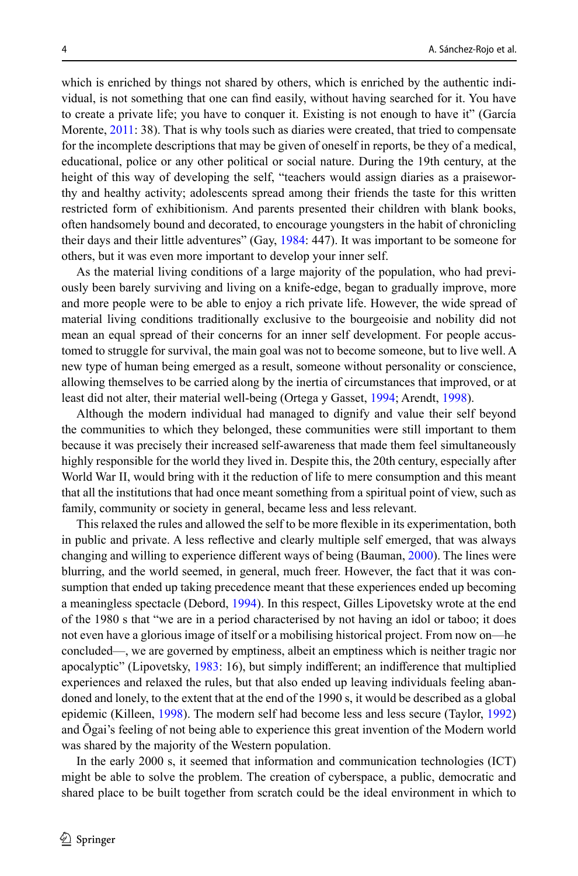which is enriched by things not shared by others, which is enriched by the authentic individual, is not something that one can find easily, without having searched for it. You have to create a private life; you have to conquer it. Existing is not enough to have it" (García Morente, [2011](#page-14-4): 38). That is why tools such as diaries were created, that tried to compensate for the incomplete descriptions that may be given of oneself in reports, be they of a medical, educational, police or any other political or social nature. During the 19th century, at the height of this way of developing the self, "teachers would assign diaries as a praiseworthy and healthy activity; adolescents spread among their friends the taste for this written restricted form of exhibitionism. And parents presented their children with blank books, often handsomely bound and decorated, to encourage youngsters in the habit of chronicling their days and their little adventures" (Gay, [1984](#page-14-5): 447). It was important to be someone for others, but it was even more important to develop your inner self.

As the material living conditions of a large majority of the population, who had previously been barely surviving and living on a knife-edge, began to gradually improve, more and more people were to be able to enjoy a rich private life. However, the wide spread of material living conditions traditionally exclusive to the bourgeoisie and nobility did not mean an equal spread of their concerns for an inner self development. For people accustomed to struggle for survival, the main goal was not to become someone, but to live well. A new type of human being emerged as a result, someone without personality or conscience, allowing themselves to be carried along by the inertia of circumstances that improved, or at least did not alter, their material well-being (Ortega y Gasset, [1994;](#page-15-4) Arendt, [1998](#page-14-6)).

Although the modern individual had managed to dignify and value their self beyond the communities to which they belonged, these communities were still important to them because it was precisely their increased self-awareness that made them feel simultaneously highly responsible for the world they lived in. Despite this, the 20th century, especially after World War II, would bring with it the reduction of life to mere consumption and this meant that all the institutions that had once meant something from a spiritual point of view, such as family, community or society in general, became less and less relevant.

This relaxed the rules and allowed the self to be more flexible in its experimentation, both in public and private. A less reflective and clearly multiple self emerged, that was always changing and willing to experience different ways of being (Bauman, [2000](#page-14-7)). The lines were blurring, and the world seemed, in general, much freer. However, the fact that it was consumption that ended up taking precedence meant that these experiences ended up becoming a meaningless spectacle (Debord, [1994](#page-14-8)). In this respect, Gilles Lipovetsky wrote at the end of the 1980 s that "we are in a period characterised by not having an idol or taboo; it does not even have a glorious image of itself or a mobilising historical project. From now on—he concluded—, we are governed by emptiness, albeit an emptiness which is neither tragic nor apocalyptic" (Lipovetsky, [1983](#page-15-5): 16), but simply indifferent; an indifference that multiplied experiences and relaxed the rules, but that also ended up leaving individuals feeling abandoned and lonely, to the extent that at the end of the 1990 s, it would be described as a global epidemic (Killeen, [1998](#page-15-6)). The modern self had become less and less secure (Taylor, [1992](#page-15-7)) and Ōgai's feeling of not being able to experience this great invention of the Modern world was shared by the majority of the Western population.

In the early 2000 s, it seemed that information and communication technologies (ICT) might be able to solve the problem. The creation of cyberspace, a public, democratic and shared place to be built together from scratch could be the ideal environment in which to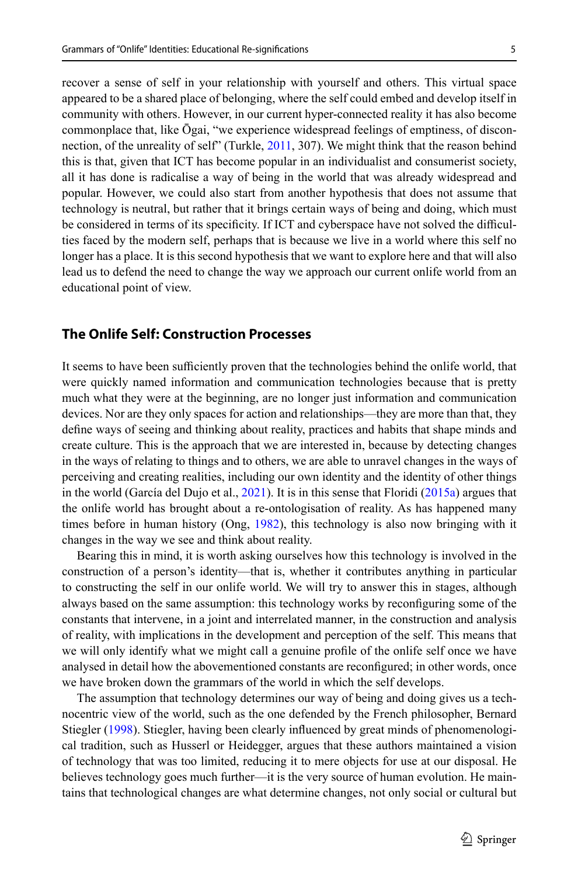recover a sense of self in your relationship with yourself and others. This virtual space appeared to be a shared place of belonging, where the self could embed and develop itself in community with others. However, in our current hyper-connected reality it has also become commonplace that, like Ōgai, "we experience widespread feelings of emptiness, of discon-nection, of the unreality of self" (Turkle, [2011,](#page-15-8) 307). We might think that the reason behind this is that, given that ICT has become popular in an individualist and consumerist society, all it has done is radicalise a way of being in the world that was already widespread and popular. However, we could also start from another hypothesis that does not assume that technology is neutral, but rather that it brings certain ways of being and doing, which must be considered in terms of its specificity. If ICT and cyberspace have not solved the difficulties faced by the modern self, perhaps that is because we live in a world where this self no longer has a place. It is this second hypothesis that we want to explore here and that will also lead us to defend the need to change the way we approach our current onlife world from an educational point of view.

#### **The Onlife Self: Construction Processes**

It seems to have been sufficiently proven that the technologies behind the onlife world, that were quickly named information and communication technologies because that is pretty much what they were at the beginning, are no longer just information and communication devices. Nor are they only spaces for action and relationships—they are more than that, they define ways of seeing and thinking about reality, practices and habits that shape minds and create culture. This is the approach that we are interested in, because by detecting changes in the ways of relating to things and to others, we are able to unravel changes in the ways of perceiving and creating realities, including our own identity and the identity of other things in the world (García del Dujo et al., [2021\)](#page-14-9). It is in this sense that Floridi [\(2015a](#page-14-1)) argues that the onlife world has brought about a re-ontologisation of reality. As has happened many times before in human history (Ong, [1982\)](#page-15-9), this technology is also now bringing with it changes in the way we see and think about reality.

Bearing this in mind, it is worth asking ourselves how this technology is involved in the construction of a person's identity—that is, whether it contributes anything in particular to constructing the self in our onlife world. We will try to answer this in stages, although always based on the same assumption: this technology works by reconfiguring some of the constants that intervene, in a joint and interrelated manner, in the construction and analysis of reality, with implications in the development and perception of the self. This means that we will only identify what we might call a genuine profile of the onlife self once we have analysed in detail how the abovementioned constants are reconfigured; in other words, once we have broken down the grammars of the world in which the self develops.

The assumption that technology determines our way of being and doing gives us a technocentric view of the world, such as the one defended by the French philosopher, Bernard Stiegler [\(1998](#page-15-10)). Stiegler, having been clearly influenced by great minds of phenomenological tradition, such as Husserl or Heidegger, argues that these authors maintained a vision of technology that was too limited, reducing it to mere objects for use at our disposal. He believes technology goes much further—it is the very source of human evolution. He maintains that technological changes are what determine changes, not only social or cultural but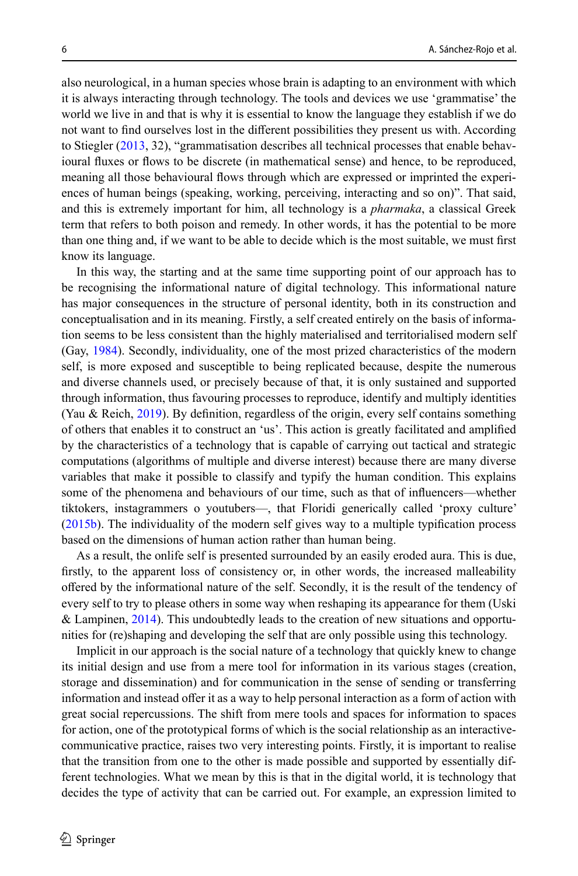also neurological, in a human species whose brain is adapting to an environment with which it is always interacting through technology. The tools and devices we use 'grammatise' the world we live in and that is why it is essential to know the language they establish if we do not want to find ourselves lost in the different possibilities they present us with. According to Stiegler ([2013,](#page-15-11) 32), "grammatisation describes all technical processes that enable behavioural fluxes or flows to be discrete (in mathematical sense) and hence, to be reproduced, meaning all those behavioural flows through which are expressed or imprinted the experiences of human beings (speaking, working, perceiving, interacting and so on)". That said, and this is extremely important for him, all technology is a *pharmaka*, a classical Greek term that refers to both poison and remedy. In other words, it has the potential to be more than one thing and, if we want to be able to decide which is the most suitable, we must first know its language.

In this way, the starting and at the same time supporting point of our approach has to be recognising the informational nature of digital technology. This informational nature has major consequences in the structure of personal identity, both in its construction and conceptualisation and in its meaning. Firstly, a self created entirely on the basis of information seems to be less consistent than the highly materialised and territorialised modern self (Gay, [1984](#page-14-5)). Secondly, individuality, one of the most prized characteristics of the modern self, is more exposed and susceptible to being replicated because, despite the numerous and diverse channels used, or precisely because of that, it is only sustained and supported through information, thus favouring processes to reproduce, identify and multiply identities (Yau & Reich, [2019](#page-16-1)). By definition, regardless of the origin, every self contains something of others that enables it to construct an 'us'. This action is greatly facilitated and amplified by the characteristics of a technology that is capable of carrying out tactical and strategic computations (algorithms of multiple and diverse interest) because there are many diverse variables that make it possible to classify and typify the human condition. This explains some of the phenomena and behaviours of our time, such as that of influencers—whether tiktokers, instagrammers o youtubers—, that Floridi generically called 'proxy culture' ([2015b](#page-14-10)). The individuality of the modern self gives way to a multiple typification process based on the dimensions of human action rather than human being.

As a result, the onlife self is presented surrounded by an easily eroded aura. This is due, firstly, to the apparent loss of consistency or, in other words, the increased malleability offered by the informational nature of the self. Secondly, it is the result of the tendency of every self to try to please others in some way when reshaping its appearance for them (Uski & Lampinen, [2014](#page-15-12)). This undoubtedly leads to the creation of new situations and opportunities for (re)shaping and developing the self that are only possible using this technology.

Implicit in our approach is the social nature of a technology that quickly knew to change its initial design and use from a mere tool for information in its various stages (creation, storage and dissemination) and for communication in the sense of sending or transferring information and instead offer it as a way to help personal interaction as a form of action with great social repercussions. The shift from mere tools and spaces for information to spaces for action, one of the prototypical forms of which is the social relationship as an interactivecommunicative practice, raises two very interesting points. Firstly, it is important to realise that the transition from one to the other is made possible and supported by essentially different technologies. What we mean by this is that in the digital world, it is technology that decides the type of activity that can be carried out. For example, an expression limited to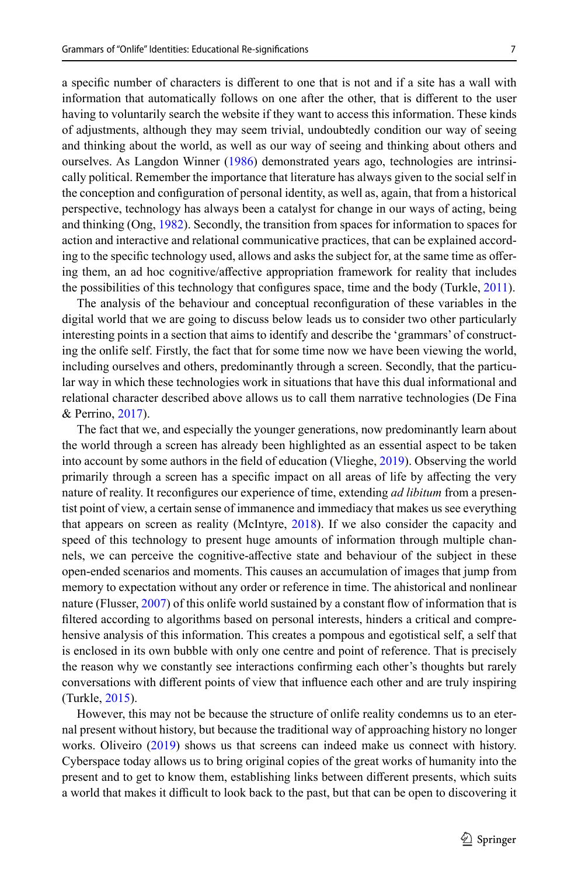a specific number of characters is different to one that is not and if a site has a wall with information that automatically follows on one after the other, that is different to the user having to voluntarily search the website if they want to access this information. These kinds of adjustments, although they may seem trivial, undoubtedly condition our way of seeing and thinking about the world, as well as our way of seeing and thinking about others and ourselves. As Langdon Winner ([1986\)](#page-16-2) demonstrated years ago, technologies are intrinsically political. Remember the importance that literature has always given to the social self in the conception and configuration of personal identity, as well as, again, that from a historical perspective, technology has always been a catalyst for change in our ways of acting, being and thinking (Ong, [1982\)](#page-15-9). Secondly, the transition from spaces for information to spaces for action and interactive and relational communicative practices, that can be explained according to the specific technology used, allows and asks the subject for, at the same time as offering them, an ad hoc cognitive/affective appropriation framework for reality that includes the possibilities of this technology that configures space, time and the body (Turkle, [2011\)](#page-15-8).

The analysis of the behaviour and conceptual reconfiguration of these variables in the digital world that we are going to discuss below leads us to consider two other particularly interesting points in a section that aims to identify and describe the 'grammars' of constructing the onlife self. Firstly, the fact that for some time now we have been viewing the world, including ourselves and others, predominantly through a screen. Secondly, that the particular way in which these technologies work in situations that have this dual informational and relational character described above allows us to call them narrative technologies (De Fina & Perrino, [2017\)](#page-14-0).

The fact that we, and especially the younger generations, now predominantly learn about the world through a screen has already been highlighted as an essential aspect to be taken into account by some authors in the field of education (Vlieghe, [2019\)](#page-16-3). Observing the world primarily through a screen has a specific impact on all areas of life by affecting the very nature of reality. It reconfigures our experience of time, extending *ad libitum* from a presentist point of view, a certain sense of immanence and immediacy that makes us see everything that appears on screen as reality (McIntyre, [2018\)](#page-15-13). If we also consider the capacity and speed of this technology to present huge amounts of information through multiple channels, we can perceive the cognitive-affective state and behaviour of the subject in these open-ended scenarios and moments. This causes an accumulation of images that jump from memory to expectation without any order or reference in time. The ahistorical and nonlinear nature (Flusser, [2007](#page-14-11)) of this onlife world sustained by a constant flow of information that is filtered according to algorithms based on personal interests, hinders a critical and comprehensive analysis of this information. This creates a pompous and egotistical self, a self that is enclosed in its own bubble with only one centre and point of reference. That is precisely the reason why we constantly see interactions confirming each other's thoughts but rarely conversations with different points of view that influence each other and are truly inspiring (Turkle, [2015](#page-15-14)).

However, this may not be because the structure of onlife reality condemns us to an eternal present without history, but because the traditional way of approaching history no longer works. Oliveiro ([2019\)](#page-15-15) shows us that screens can indeed make us connect with history. Cyberspace today allows us to bring original copies of the great works of humanity into the present and to get to know them, establishing links between different presents, which suits a world that makes it difficult to look back to the past, but that can be open to discovering it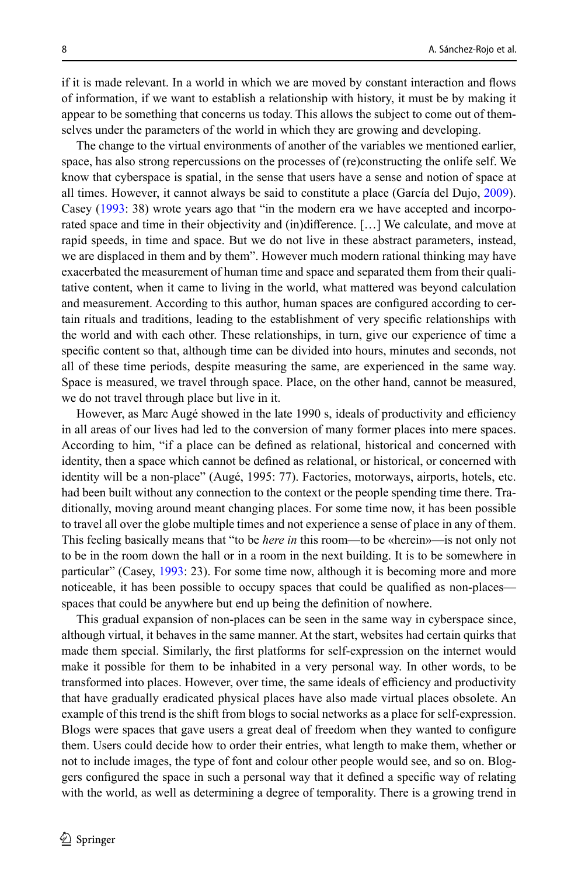if it is made relevant. In a world in which we are moved by constant interaction and flows of information, if we want to establish a relationship with history, it must be by making it appear to be something that concerns us today. This allows the subject to come out of themselves under the parameters of the world in which they are growing and developing.

The change to the virtual environments of another of the variables we mentioned earlier, space, has also strong repercussions on the processes of (re)constructing the onlife self. We know that cyberspace is spatial, in the sense that users have a sense and notion of space at all times. However, it cannot always be said to constitute a place (García del Dujo, [2009](#page-14-12)). Casey [\(1993](#page-14-13): 38) wrote years ago that "in the modern era we have accepted and incorporated space and time in their objectivity and (in)difference. […] We calculate, and move at rapid speeds, in time and space. But we do not live in these abstract parameters, instead, we are displaced in them and by them". However much modern rational thinking may have exacerbated the measurement of human time and space and separated them from their qualitative content, when it came to living in the world, what mattered was beyond calculation and measurement. According to this author, human spaces are configured according to certain rituals and traditions, leading to the establishment of very specific relationships with the world and with each other. These relationships, in turn, give our experience of time a specific content so that, although time can be divided into hours, minutes and seconds, not all of these time periods, despite measuring the same, are experienced in the same way. Space is measured, we travel through space. Place, on the other hand, cannot be measured, we do not travel through place but live in it.

However, as Marc Augé showed in the late 1990 s, ideals of productivity and efficiency in all areas of our lives had led to the conversion of many former places into mere spaces. According to him, "if a place can be defined as relational, historical and concerned with identity, then a space which cannot be defined as relational, or historical, or concerned with identity will be a non-place" (Augé, 1995: 77). Factories, motorways, airports, hotels, etc. had been built without any connection to the context or the people spending time there. Traditionally, moving around meant changing places. For some time now, it has been possible to travel all over the globe multiple times and not experience a sense of place in any of them. This feeling basically means that "to be *here in* this room—to be «herein»—is not only not to be in the room down the hall or in a room in the next building. It is to be somewhere in particular" (Casey, [1993](#page-14-13): 23). For some time now, although it is becoming more and more noticeable, it has been possible to occupy spaces that could be qualified as non-places spaces that could be anywhere but end up being the definition of nowhere.

This gradual expansion of non-places can be seen in the same way in cyberspace since, although virtual, it behaves in the same manner. At the start, websites had certain quirks that made them special. Similarly, the first platforms for self-expression on the internet would make it possible for them to be inhabited in a very personal way. In other words, to be transformed into places. However, over time, the same ideals of efficiency and productivity that have gradually eradicated physical places have also made virtual places obsolete. An example of this trend is the shift from blogs to social networks as a place for self-expression. Blogs were spaces that gave users a great deal of freedom when they wanted to configure them. Users could decide how to order their entries, what length to make them, whether or not to include images, the type of font and colour other people would see, and so on. Bloggers configured the space in such a personal way that it defined a specific way of relating with the world, as well as determining a degree of temporality. There is a growing trend in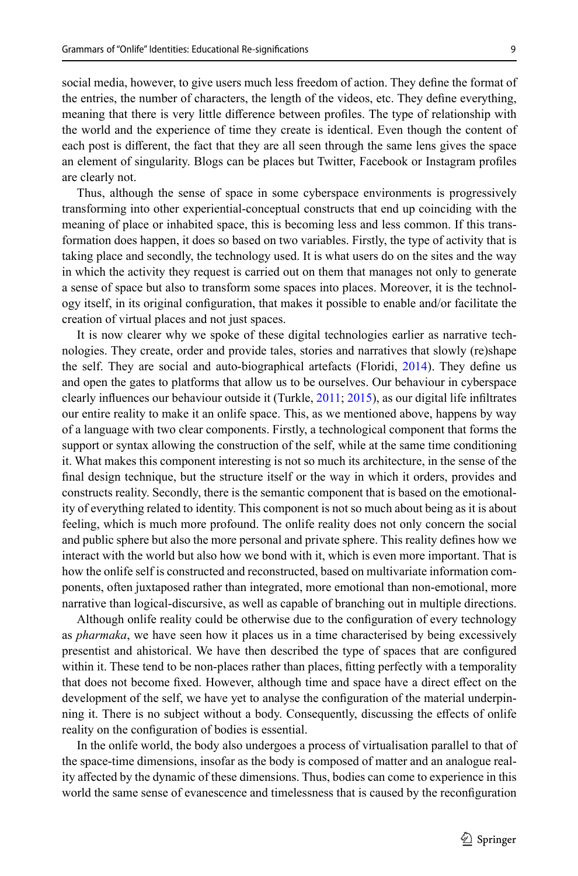social media, however, to give users much less freedom of action. They define the format of the entries, the number of characters, the length of the videos, etc. They define everything, meaning that there is very little difference between profiles. The type of relationship with the world and the experience of time they create is identical. Even though the content of each post is different, the fact that they are all seen through the same lens gives the space an element of singularity. Blogs can be places but Twitter, Facebook or Instagram profiles are clearly not.

Thus, although the sense of space in some cyberspace environments is progressively transforming into other experiential-conceptual constructs that end up coinciding with the meaning of place or inhabited space, this is becoming less and less common. If this transformation does happen, it does so based on two variables. Firstly, the type of activity that is taking place and secondly, the technology used. It is what users do on the sites and the way in which the activity they request is carried out on them that manages not only to generate a sense of space but also to transform some spaces into places. Moreover, it is the technology itself, in its original configuration, that makes it possible to enable and/or facilitate the creation of virtual places and not just spaces.

It is now clearer why we spoke of these digital technologies earlier as narrative technologies. They create, order and provide tales, stories and narratives that slowly (re)shape the self. They are social and auto-biographical artefacts (Floridi, [2014](#page-14-14)). They define us and open the gates to platforms that allow us to be ourselves. Our behaviour in cyberspace clearly influences our behaviour outside it (Turkle, [2011](#page-15-8); [2015](#page-15-14)), as our digital life infiltrates our entire reality to make it an onlife space. This, as we mentioned above, happens by way of a language with two clear components. Firstly, a technological component that forms the support or syntax allowing the construction of the self, while at the same time conditioning it. What makes this component interesting is not so much its architecture, in the sense of the final design technique, but the structure itself or the way in which it orders, provides and constructs reality. Secondly, there is the semantic component that is based on the emotionality of everything related to identity. This component is not so much about being as it is about feeling, which is much more profound. The onlife reality does not only concern the social and public sphere but also the more personal and private sphere. This reality defines how we interact with the world but also how we bond with it, which is even more important. That is how the onlife self is constructed and reconstructed, based on multivariate information components, often juxtaposed rather than integrated, more emotional than non-emotional, more narrative than logical-discursive, as well as capable of branching out in multiple directions.

Although onlife reality could be otherwise due to the configuration of every technology as *pharmaka*, we have seen how it places us in a time characterised by being excessively presentist and ahistorical. We have then described the type of spaces that are configured within it. These tend to be non-places rather than places, fitting perfectly with a temporality that does not become fixed. However, although time and space have a direct effect on the development of the self, we have yet to analyse the configuration of the material underpinning it. There is no subject without a body. Consequently, discussing the effects of onlife reality on the configuration of bodies is essential.

In the onlife world, the body also undergoes a process of virtualisation parallel to that of the space-time dimensions, insofar as the body is composed of matter and an analogue reality affected by the dynamic of these dimensions. Thus, bodies can come to experience in this world the same sense of evanescence and timelessness that is caused by the reconfiguration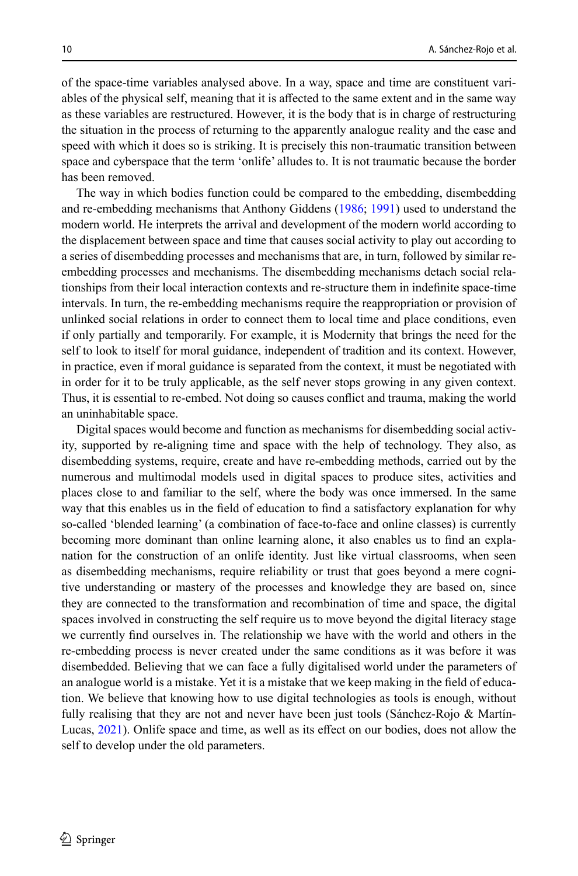of the space-time variables analysed above. In a way, space and time are constituent variables of the physical self, meaning that it is affected to the same extent and in the same way as these variables are restructured. However, it is the body that is in charge of restructuring the situation in the process of returning to the apparently analogue reality and the ease and speed with which it does so is striking. It is precisely this non-traumatic transition between space and cyberspace that the term 'onlife' alludes to. It is not traumatic because the border has been removed.

The way in which bodies function could be compared to the embedding, disembedding and re-embedding mechanisms that Anthony Giddens ([1986;](#page-14-15) [1991\)](#page-14-16) used to understand the modern world. He interprets the arrival and development of the modern world according to the displacement between space and time that causes social activity to play out according to a series of disembedding processes and mechanisms that are, in turn, followed by similar reembedding processes and mechanisms. The disembedding mechanisms detach social relationships from their local interaction contexts and re-structure them in indefinite space-time intervals. In turn, the re-embedding mechanisms require the reappropriation or provision of unlinked social relations in order to connect them to local time and place conditions, even if only partially and temporarily. For example, it is Modernity that brings the need for the self to look to itself for moral guidance, independent of tradition and its context. However, in practice, even if moral guidance is separated from the context, it must be negotiated with in order for it to be truly applicable, as the self never stops growing in any given context. Thus, it is essential to re-embed. Not doing so causes conflict and trauma, making the world an uninhabitable space.

Digital spaces would become and function as mechanisms for disembedding social activity, supported by re-aligning time and space with the help of technology. They also, as disembedding systems, require, create and have re-embedding methods, carried out by the numerous and multimodal models used in digital spaces to produce sites, activities and places close to and familiar to the self, where the body was once immersed. In the same way that this enables us in the field of education to find a satisfactory explanation for why so-called 'blended learning' (a combination of face-to-face and online classes) is currently becoming more dominant than online learning alone, it also enables us to find an explanation for the construction of an onlife identity. Just like virtual classrooms, when seen as disembedding mechanisms, require reliability or trust that goes beyond a mere cognitive understanding or mastery of the processes and knowledge they are based on, since they are connected to the transformation and recombination of time and space, the digital spaces involved in constructing the self require us to move beyond the digital literacy stage we currently find ourselves in. The relationship we have with the world and others in the re-embedding process is never created under the same conditions as it was before it was disembedded. Believing that we can face a fully digitalised world under the parameters of an analogue world is a mistake. Yet it is a mistake that we keep making in the field of education. We believe that knowing how to use digital technologies as tools is enough, without fully realising that they are not and never have been just tools (Sánchez-Rojo & Martín-Lucas, [2021](#page-15-16)). Onlife space and time, as well as its effect on our bodies, does not allow the self to develop under the old parameters.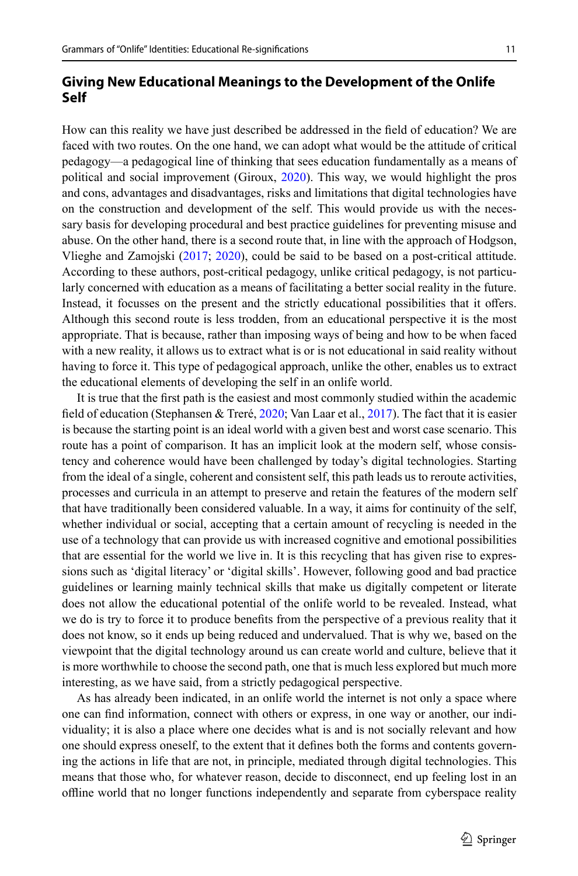# **Giving New Educational Meanings to the Development of the Onlife Self**

How can this reality we have just described be addressed in the field of education? We are faced with two routes. On the one hand, we can adopt what would be the attitude of critical pedagogy—a pedagogical line of thinking that sees education fundamentally as a means of political and social improvement (Giroux, [2020\)](#page-15-17). This way, we would highlight the pros and cons, advantages and disadvantages, risks and limitations that digital technologies have on the construction and development of the self. This would provide us with the necessary basis for developing procedural and best practice guidelines for preventing misuse and abuse. On the other hand, there is a second route that, in line with the approach of Hodgson, Vlieghe and Zamojski [\(2017](#page-15-18); [2020](#page-15-19)), could be said to be based on a post-critical attitude. According to these authors, post-critical pedagogy, unlike critical pedagogy, is not particularly concerned with education as a means of facilitating a better social reality in the future. Instead, it focusses on the present and the strictly educational possibilities that it offers. Although this second route is less trodden, from an educational perspective it is the most appropriate. That is because, rather than imposing ways of being and how to be when faced with a new reality, it allows us to extract what is or is not educational in said reality without having to force it. This type of pedagogical approach, unlike the other, enables us to extract the educational elements of developing the self in an onlife world.

It is true that the first path is the easiest and most commonly studied within the academic field of education (Stephansen & Treré, [2020](#page-15-20); Van Laar et al., [2017](#page-15-21)). The fact that it is easier is because the starting point is an ideal world with a given best and worst case scenario. This route has a point of comparison. It has an implicit look at the modern self, whose consistency and coherence would have been challenged by today's digital technologies. Starting from the ideal of a single, coherent and consistent self, this path leads us to reroute activities, processes and curricula in an attempt to preserve and retain the features of the modern self that have traditionally been considered valuable. In a way, it aims for continuity of the self, whether individual or social, accepting that a certain amount of recycling is needed in the use of a technology that can provide us with increased cognitive and emotional possibilities that are essential for the world we live in. It is this recycling that has given rise to expressions such as 'digital literacy' or 'digital skills'. However, following good and bad practice guidelines or learning mainly technical skills that make us digitally competent or literate does not allow the educational potential of the onlife world to be revealed. Instead, what we do is try to force it to produce benefits from the perspective of a previous reality that it does not know, so it ends up being reduced and undervalued. That is why we, based on the viewpoint that the digital technology around us can create world and culture, believe that it is more worthwhile to choose the second path, one that is much less explored but much more interesting, as we have said, from a strictly pedagogical perspective.

As has already been indicated, in an onlife world the internet is not only a space where one can find information, connect with others or express, in one way or another, our individuality; it is also a place where one decides what is and is not socially relevant and how one should express oneself, to the extent that it defines both the forms and contents governing the actions in life that are not, in principle, mediated through digital technologies. This means that those who, for whatever reason, decide to disconnect, end up feeling lost in an offline world that no longer functions independently and separate from cyberspace reality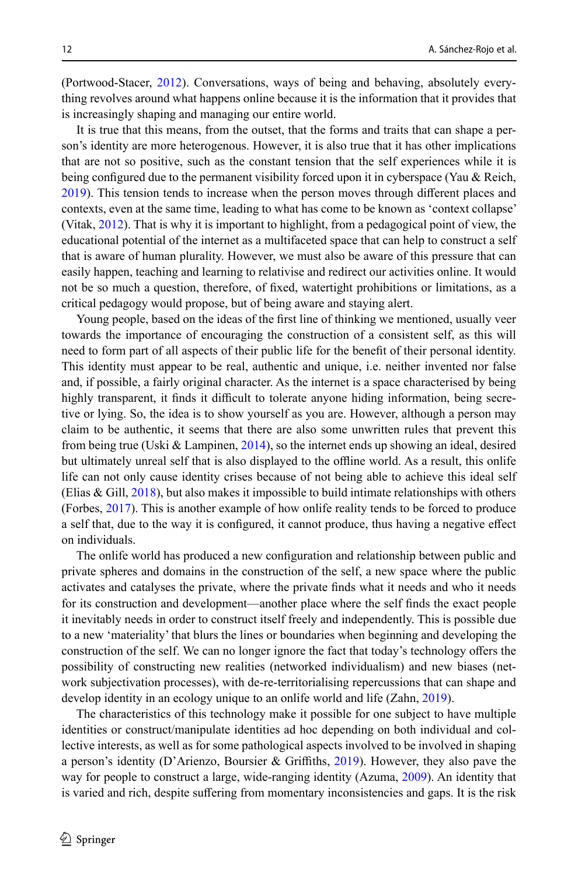(Portwood-Stacer, [2012](#page-15-22)). Conversations, ways of being and behaving, absolutely everything revolves around what happens online because it is the information that it provides that is increasingly shaping and managing our entire world.

It is true that this means, from the outset, that the forms and traits that can shape a person's identity are more heterogenous. However, it is also true that it has other implications that are not so positive, such as the constant tension that the self experiences while it is being configured due to the permanent visibility forced upon it in cyberspace (Yau & Reich, [2019](#page-16-1)). This tension tends to increase when the person moves through different places and contexts, even at the same time, leading to what has come to be known as 'context collapse' (Vitak,  $2012$ ). That is why it is important to highlight, from a pedagogical point of view, the educational potential of the internet as a multifaceted space that can help to construct a self that is aware of human plurality. However, we must also be aware of this pressure that can easily happen, teaching and learning to relativise and redirect our activities online. It would not be so much a question, therefore, of fixed, watertight prohibitions or limitations, as a critical pedagogy would propose, but of being aware and staying alert.

Young people, based on the ideas of the first line of thinking we mentioned, usually veer towards the importance of encouraging the construction of a consistent self, as this will need to form part of all aspects of their public life for the benefit of their personal identity. This identity must appear to be real, authentic and unique, i.e. neither invented nor false and, if possible, a fairly original character. As the internet is a space characterised by being highly transparent, it finds it difficult to tolerate anyone hiding information, being secretive or lying. So, the idea is to show yourself as you are. However, although a person may claim to be authentic, it seems that there are also some unwritten rules that prevent this from being true (Uski & Lampinen, [2014](#page-15-12)), so the internet ends up showing an ideal, desired but ultimately unreal self that is also displayed to the offline world. As a result, this onlife life can not only cause identity crises because of not being able to achieve this ideal self (Elias & Gill, [2018\)](#page-14-17), but also makes it impossible to build intimate relationships with others (Forbes, [2017\)](#page-14-18). This is another example of how onlife reality tends to be forced to produce a self that, due to the way it is configured, it cannot produce, thus having a negative effect on individuals.

The onlife world has produced a new configuration and relationship between public and private spheres and domains in the construction of the self, a new space where the public activates and catalyses the private, where the private finds what it needs and who it needs for its construction and development—another place where the self finds the exact people it inevitably needs in order to construct itself freely and independently. This is possible due to a new 'materiality' that blurs the lines or boundaries when beginning and developing the construction of the self. We can no longer ignore the fact that today's technology offers the possibility of constructing new realities (networked individualism) and new biases (network subjectivation processes), with de-re-territorialising repercussions that can shape and develop identity in an ecology unique to an onlife world and life (Zahn, [2019](#page-16-4)).

The characteristics of this technology make it possible for one subject to have multiple identities or construct/manipulate identities ad hoc depending on both individual and collective interests, as well as for some pathological aspects involved to be involved in shaping a person's identity (D'Arienzo, Boursier & Griffiths, [2019](#page-14-19)). However, they also pave the way for people to construct a large, wide-ranging identity (Azuma, [2009\)](#page-14-20). An identity that is varied and rich, despite suffering from momentary inconsistencies and gaps. It is the risk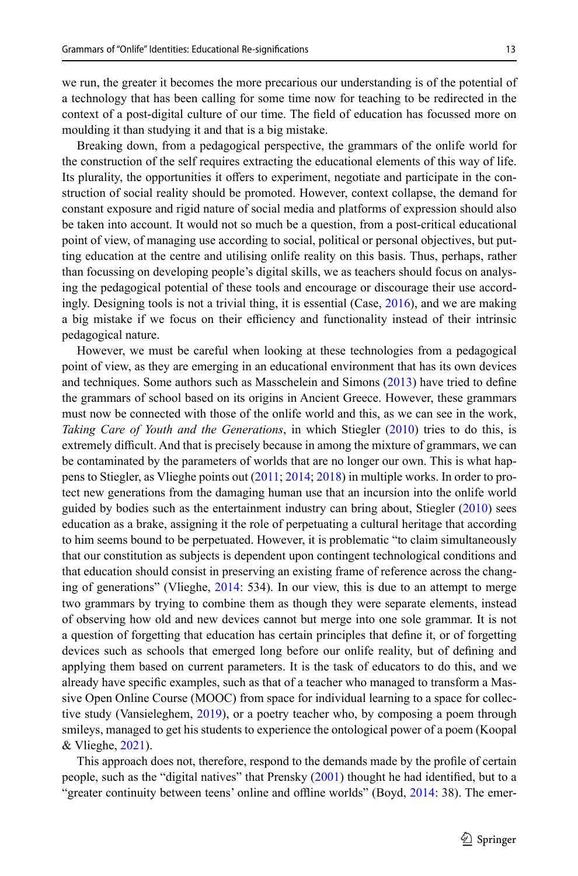we run, the greater it becomes the more precarious our understanding is of the potential of a technology that has been calling for some time now for teaching to be redirected in the context of a post-digital culture of our time. The field of education has focussed more on moulding it than studying it and that is a big mistake.

Breaking down, from a pedagogical perspective, the grammars of the onlife world for the construction of the self requires extracting the educational elements of this way of life. Its plurality, the opportunities it offers to experiment, negotiate and participate in the construction of social reality should be promoted. However, context collapse, the demand for constant exposure and rigid nature of social media and platforms of expression should also be taken into account. It would not so much be a question, from a post-critical educational point of view, of managing use according to social, political or personal objectives, but putting education at the centre and utilising onlife reality on this basis. Thus, perhaps, rather than focussing on developing people's digital skills, we as teachers should focus on analysing the pedagogical potential of these tools and encourage or discourage their use accordingly. Designing tools is not a trivial thing, it is essential (Case,  $2016$ ), and we are making a big mistake if we focus on their efficiency and functionality instead of their intrinsic pedagogical nature.

However, we must be careful when looking at these technologies from a pedagogical point of view, as they are emerging in an educational environment that has its own devices and techniques. Some authors such as Masschelein and Simons ([2013](#page-15-24)) have tried to define the grammars of school based on its origins in Ancient Greece. However, these grammars must now be connected with those of the onlife world and this, as we can see in the work, *Taking Care of Youth and the Generations*, in which Stiegler [\(2010](#page-15-25)) tries to do this, is extremely difficult. And that is precisely because in among the mixture of grammars, we can be contaminated by the parameters of worlds that are no longer our own. This is what happens to Stiegler, as Vlieghe points out ([2011;](#page-16-5) [2014](#page-16-6); [2018\)](#page-16-7) in multiple works. In order to protect new generations from the damaging human use that an incursion into the onlife world guided by bodies such as the entertainment industry can bring about, Stiegler [\(2010](#page-15-25)) sees education as a brake, assigning it the role of perpetuating a cultural heritage that according to him seems bound to be perpetuated. However, it is problematic "to claim simultaneously that our constitution as subjects is dependent upon contingent technological conditions and that education should consist in preserving an existing frame of reference across the changing of generations" (Vlieghe, [2014](#page-16-6): 534). In our view, this is due to an attempt to merge two grammars by trying to combine them as though they were separate elements, instead of observing how old and new devices cannot but merge into one sole grammar. It is not a question of forgetting that education has certain principles that define it, or of forgetting devices such as schools that emerged long before our onlife reality, but of defining and applying them based on current parameters. It is the task of educators to do this, and we already have specific examples, such as that of a teacher who managed to transform a Massive Open Online Course (MOOC) from space for individual learning to a space for collective study (Vansieleghem, [2019\)](#page-15-26), or a poetry teacher who, by composing a poem through smileys, managed to get his students to experience the ontological power of a poem (Koopal & Vlieghe, [2021\)](#page-15-27).

This approach does not, therefore, respond to the demands made by the profile of certain people, such as the "digital natives" that Prensky ([2001](#page-15-28)) thought he had identified, but to a "greater continuity between teens' online and offline worlds" (Boyd, [2014](#page-14-22): 38). The emer-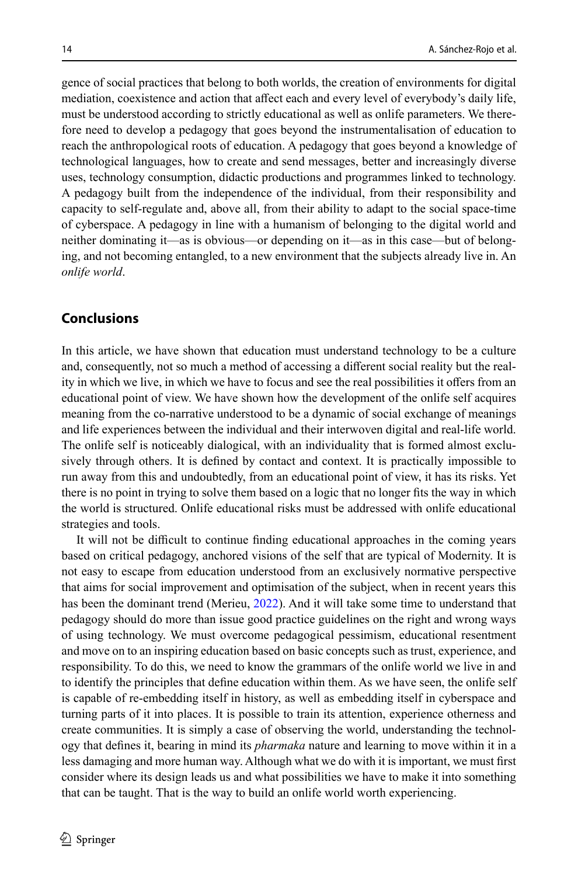gence of social practices that belong to both worlds, the creation of environments for digital mediation, coexistence and action that affect each and every level of everybody's daily life, must be understood according to strictly educational as well as onlife parameters. We therefore need to develop a pedagogy that goes beyond the instrumentalisation of education to reach the anthropological roots of education. A pedagogy that goes beyond a knowledge of technological languages, how to create and send messages, better and increasingly diverse uses, technology consumption, didactic productions and programmes linked to technology. A pedagogy built from the independence of the individual, from their responsibility and capacity to self-regulate and, above all, from their ability to adapt to the social space-time of cyberspace. A pedagogy in line with a humanism of belonging to the digital world and neither dominating it—as is obvious—or depending on it—as in this case—but of belonging, and not becoming entangled, to a new environment that the subjects already live in. An *onlife world*.

#### **Conclusions**

In this article, we have shown that education must understand technology to be a culture and, consequently, not so much a method of accessing a different social reality but the reality in which we live, in which we have to focus and see the real possibilities it offers from an educational point of view. We have shown how the development of the onlife self acquires meaning from the co-narrative understood to be a dynamic of social exchange of meanings and life experiences between the individual and their interwoven digital and real-life world. The onlife self is noticeably dialogical, with an individuality that is formed almost exclusively through others. It is defined by contact and context. It is practically impossible to run away from this and undoubtedly, from an educational point of view, it has its risks. Yet there is no point in trying to solve them based on a logic that no longer fits the way in which the world is structured. Onlife educational risks must be addressed with onlife educational strategies and tools.

It will not be difficult to continue finding educational approaches in the coming years based on critical pedagogy, anchored visions of the self that are typical of Modernity. It is not easy to escape from education understood from an exclusively normative perspective that aims for social improvement and optimisation of the subject, when in recent years this has been the dominant trend (Merieu, [2022\)](#page-15-29). And it will take some time to understand that pedagogy should do more than issue good practice guidelines on the right and wrong ways of using technology. We must overcome pedagogical pessimism, educational resentment and move on to an inspiring education based on basic concepts such as trust, experience, and responsibility. To do this, we need to know the grammars of the onlife world we live in and to identify the principles that define education within them. As we have seen, the onlife self is capable of re-embedding itself in history, as well as embedding itself in cyberspace and turning parts of it into places. It is possible to train its attention, experience otherness and create communities. It is simply a case of observing the world, understanding the technology that defines it, bearing in mind its *pharmaka* nature and learning to move within it in a less damaging and more human way. Although what we do with it is important, we must first consider where its design leads us and what possibilities we have to make it into something that can be taught. That is the way to build an onlife world worth experiencing.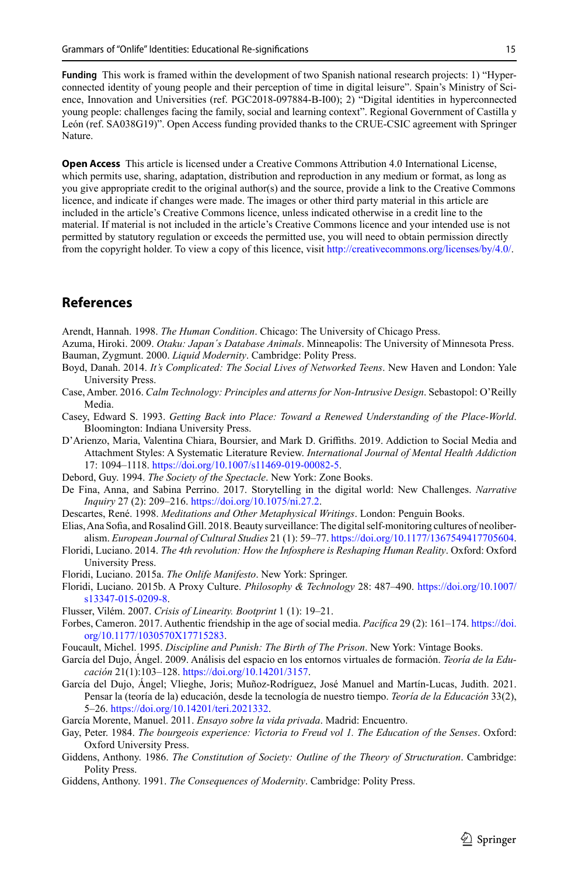**Funding** This work is framed within the development of two Spanish national research projects: 1) "Hyperconnected identity of young people and their perception of time in digital leisure". Spain's Ministry of Science, Innovation and Universities (ref. PGC2018-097884-B-I00); 2) "Digital identities in hyperconnected young people: challenges facing the family, social and learning context". Regional Government of Castilla y León (ref. SA038G19)". Open Access funding provided thanks to the CRUE-CSIC agreement with Springer Nature.

**Open Access** This article is licensed under a Creative Commons Attribution 4.0 International License, which permits use, sharing, adaptation, distribution and reproduction in any medium or format, as long as you give appropriate credit to the original author(s) and the source, provide a link to the Creative Commons licence, and indicate if changes were made. The images or other third party material in this article are included in the article's Creative Commons licence, unless indicated otherwise in a credit line to the material. If material is not included in the article's Creative Commons licence and your intended use is not permitted by statutory regulation or exceeds the permitted use, you will need to obtain permission directly from the copyright holder. To view a copy of this licence, visit <http://creativecommons.org/licenses/by/4.0/>.

### **References**

<span id="page-14-6"></span>Arendt, Hannah. 1998. *The Human Condition*. Chicago: The University of Chicago Press.

- <span id="page-14-20"></span><span id="page-14-7"></span>Azuma, Hiroki. 2009. *Otaku: Japan´s Database Animals*. Minneapolis: The University of Minnesota Press. Bauman, Zygmunt. 2000. *Liquid Modernity*. Cambridge: Polity Press.
- <span id="page-14-22"></span>Boyd, Danah. 2014. *It's Complicated: The Social Lives of Networked Teens*. New Haven and London: Yale University Press.
- <span id="page-14-21"></span>Case, Amber. 2016. *Calm Technology: Principles and atterns for Non-Intrusive Design*. Sebastopol: O'Reilly Media.
- <span id="page-14-13"></span>Casey, Edward S. 1993. *Getting Back into Place: Toward a Renewed Understanding of the Place-World*. Bloomington: Indiana University Press.
- <span id="page-14-19"></span>D'Arienzo, Maria, Valentina Chiara, Boursier, and Mark D. Griffiths. 2019. Addiction to Social Media and Attachment Styles: A Systematic Literature Review. *International Journal of Mental Health Addiction* 17: 1094–1118. [https://doi.org/10.1007/s11469-019-00082-5](http://dx.doi.org/10.1007/s11469-019-00082-5).
- <span id="page-14-8"></span>Debord, Guy. 1994. *The Society of the Spectacle*. New York: Zone Books.
- <span id="page-14-0"></span>De Fina, Anna, and Sabina Perrino. 2017. Storytelling in the digital world: New Challenges. *Narrative Inquiry* 27 (2): 209–216. [https://doi.org/10.1075/ni.27.2](http://dx.doi.org/10.1075/ni.27.2).
- <span id="page-14-2"></span>Descartes, René. 1998. *Meditations and Other Metaphysical Writings*. London: Penguin Books.
- <span id="page-14-17"></span>Elias, Ana Sofia, and Rosalind Gill. 2018. Beauty surveillance: The digital self-monitoring cultures of neoliberalism. *European Journal of Cultural Studies* 21 (1): 59–77. [https://doi.org/10.1177/1367549417705604](http://dx.doi.org/10.1177/1367549417705604).
- <span id="page-14-14"></span>Floridi, Luciano. 2014. *The 4th revolution: How the Infosphere is Reshaping Human Reality*. Oxford: Oxford University Press.
- <span id="page-14-1"></span>Floridi, Luciano. 2015a. *The Onlife Manifesto*. New York: Springer.
- <span id="page-14-10"></span>Floridi, Luciano. 2015b. A Proxy Culture. *Philosophy & Technology* 28: 487–490. [https://doi.org/10.1007/](http://dx.doi.org/10.1007/s13347-015-0209-8) [s13347-015-0209-8](http://dx.doi.org/10.1007/s13347-015-0209-8).
- <span id="page-14-11"></span>Flusser, Vilém. 2007. *Crisis of Linearity. Bootprint* 1 (1): 19–21.
- <span id="page-14-18"></span>Forbes, Cameron. 2017. Authentic friendship in the age of social media. *Pacífica* 29 (2): 161–174. [https://doi.](http://dx.doi.org/10.1177/1030570X17715283) [org/10.1177/1030570X17715283.](http://dx.doi.org/10.1177/1030570X17715283)
- <span id="page-14-3"></span>Foucault, Michel. 1995. *Discipline and Punish: The Birth of The Prison*. New York: Vintage Books.
- <span id="page-14-12"></span>García del Dujo, Ángel. 2009. Análisis del espacio en los entornos virtuales de formación. *Teoría de la Educación* 21(1):103–128. [https://doi.org/10.14201/3157](http://dx.doi.org/10.14201/3157).
- <span id="page-14-9"></span>García del Dujo, Ángel; Vlieghe, Joris; Muñoz-Rodríguez, José Manuel and Martín-Lucas, Judith. 2021. Pensar la (teoría de la) educación, desde la tecnología de nuestro tiempo. *Teoría de la Educación* 33(2), 5–26. [https://doi.org/10.14201/teri.2021332](http://dx.doi.org/10.14201/teri.2021332).
- <span id="page-14-4"></span>García Morente, Manuel. 2011. *Ensayo sobre la vida privada*. Madrid: Encuentro.
- <span id="page-14-5"></span>Gay, Peter. 1984. *The bourgeois experience: Victoria to Freud vol 1. The Education of the Senses*. Oxford: Oxford University Press.
- <span id="page-14-15"></span>Giddens, Anthony. 1986. *The Constitution of Society: Outline of the Theory of Structuration*. Cambridge: Polity Press.
- <span id="page-14-16"></span>Giddens, Anthony. 1991. *The Consequences of Modernity*. Cambridge: Polity Press.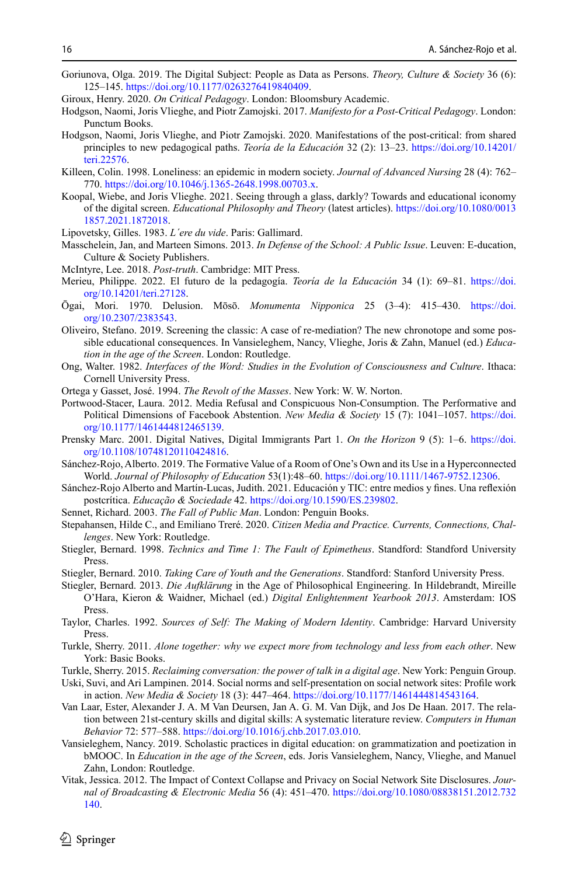- <span id="page-15-0"></span>Goriunova, Olga. 2019. The Digital Subject: People as Data as Persons. *Theory, Culture & Society* 36 (6): 125–145. [https://doi.org/10.1177/0263276419840409](http://dx.doi.org/10.1177/0263276419840409).
- <span id="page-15-17"></span>Giroux, Henry. 2020. *On Critical Pedagogy*. London: Bloomsbury Academic.
- <span id="page-15-18"></span>Hodgson, Naomi, Joris Vlieghe, and Piotr Zamojski. 2017. *Manifesto for a Post-Critical Pedagogy*. London: Punctum Books.
- <span id="page-15-19"></span>Hodgson, Naomi, Joris Vlieghe, and Piotr Zamojski. 2020. Manifestations of the post-critical: from shared principles to new pedagogical paths. *Teoría de la Educación* 32 (2): 13–23. [https://doi.org/10.14201/](http://dx.doi.org/10.14201/teri.22576) [teri.22576](http://dx.doi.org/10.14201/teri.22576).
- <span id="page-15-6"></span>Killeen, Colin. 1998. Loneliness: an epidemic in modern society. *Journal of Advanced Nursing* 28 (4): 762– 770. [https://doi.org/10.1046/j.1365-2648.1998.00703.x](http://dx.doi.org/10.1046/j.1365-2648.1998.00703.x).
- <span id="page-15-27"></span>Koopal, Wiebe, and Joris Vlieghe. 2021. Seeing through a glass, darkly? Towards and educational iconomy of the digital screen. *Educational Philosophy and Theory* (latest articles). [https://doi.org/10.1080/0013](http://dx.doi.org/10.1080/00131857.2021.1872018) [1857.2021.1872018.](http://dx.doi.org/10.1080/00131857.2021.1872018)
- <span id="page-15-5"></span>Lipovetsky, Gilles. 1983. *L´ere du vide*. Paris: Gallimard.
- <span id="page-15-24"></span>Masschelein, Jan, and Marteen Simons. 2013. *In Defense of the School: A Public Issue*. Leuven: E-ducation, Culture & Society Publishers.
- <span id="page-15-13"></span>McIntyre, Lee. 2018. *Post-truth*. Cambridge: MIT Press.
- <span id="page-15-29"></span>Merieu, Philippe. 2022. El futuro de la pedagogía. *Teoría de la Educación* 34 (1): 69–81. [https://doi.](http://dx.doi.org/10.14201/teri.27128) [org/10.14201/teri.27128](http://dx.doi.org/10.14201/teri.27128).
- <span id="page-15-1"></span>Ōgai, Mori. 1970. Delusion. Mōsō. *Monumenta Nipponica* 25 (3–4): 415–430. [https://doi.](http://dx.doi.org/10.2307/2383543) [org/10.2307/2383543.](http://dx.doi.org/10.2307/2383543)
- <span id="page-15-15"></span>Oliveiro, Stefano. 2019. Screening the classic: A case of re-mediation? The new chronotope and some possible educational consequences. In Vansieleghem, Nancy, Vlieghe, Joris & Zahn, Manuel (ed.) *Education in the age of the Screen*. London: Routledge.
- <span id="page-15-9"></span>Ong, Walter. 1982. *Interfaces of the Word: Studies in the Evolution of Consciousness and Culture*. Ithaca: Cornell University Press.
- <span id="page-15-4"></span>Ortega y Gasset, José. 1994. *The Revolt of the Masses*. New York: W. W. Norton.
- <span id="page-15-22"></span>Portwood-Stacer, Laura. 2012. Media Refusal and Conspicuous Non-Consumption. The Performative and Political Dimensions of Facebook Abstention. *New Media & Society* 15 (7): 1041–1057. [https://doi.](http://dx.doi.org/10.1177/1461444812465139) [org/10.1177/1461444812465139](http://dx.doi.org/10.1177/1461444812465139).
- <span id="page-15-28"></span>Prensky Marc. 2001. Digital Natives, Digital Immigrants Part 1. *On the Horizon* 9 (5): 1–6. [https://doi.](http://dx.doi.org/10.1108/10748120110424816) [org/10.1108/10748120110424816](http://dx.doi.org/10.1108/10748120110424816).
- <span id="page-15-2"></span>Sánchez-Rojo, Alberto. 2019. The Formative Value of a Room of One's Own and its Use in a Hyperconnected World. *Journal of Philosophy of Education* 53(1):48–60. [https://doi.org/10.1111/1467-9752.12306](http://dx.doi.org/10.1111/1467-9752.12306).
- <span id="page-15-16"></span>Sánchez-Rojo Alberto and Martín-Lucas, Judith. 2021. Educación y TIC: entre medios y fines. Una reflexión postcrítica. *Educação & Sociedade* 42. [https://doi.org/10.1590/ES.239802](http://dx.doi.org/10.1590/ES.239802).
- <span id="page-15-3"></span>Sennet, Richard. 2003. *The Fall of Public Man*. London: Penguin Books.
- <span id="page-15-20"></span>Stepahansen, Hilde C., and Emiliano Treré. 2020. *Citizen Media and Practice. Currents, Connections, Challenges*. New York: Routledge.
- <span id="page-15-10"></span>Stiegler, Bernard. 1998. *Technics and Time 1: The Fault of Epimetheus*. Standford: Standford University Press.
- <span id="page-15-25"></span>Stiegler, Bernard. 2010. *Taking Care of Youth and the Generations*. Standford: Stanford University Press.
- <span id="page-15-11"></span>Stiegler, Bernard. 2013. *Die Aufklärung* in the Age of Philosophical Engineering. In Hildebrandt, Mireille O'Hara, Kieron & Waidner, Michael (ed.) *Digital Enlightenment Yearbook 2013*. Amsterdam: IOS Press.
- <span id="page-15-7"></span>Taylor, Charles. 1992. *Sources of Self: The Making of Modern Identity*. Cambridge: Harvard University Press.
- <span id="page-15-8"></span>Turkle, Sherry. 2011. *Alone together: why we expect more from technology and less from each other*. New York: Basic Books.
- <span id="page-15-14"></span>Turkle, Sherry. 2015. *Reclaiming conversation: the power of talk in a digital age*. New York: Penguin Group.
- <span id="page-15-12"></span>Uski, Suvi, and Ari Lampinen. 2014. Social norms and self-presentation on social network sites: Profile work in action. *New Media & Society* 18 (3): 447–464. [https://doi.org/10.1177/1461444814543164](http://dx.doi.org/10.1177/1461444814543164).
- <span id="page-15-21"></span>Van Laar, Ester, Alexander J. A. M Van Deursen, Jan A. G. M. Van Dijk, and Jos De Haan. 2017. The relation between 21st-century skills and digital skills: A systematic literature review. *Computers in Human Behavior* 72: 577–588. [https://doi.org/10.1016/j.chb.2017.03.010](http://dx.doi.org/10.1016/j.chb.2017.03.010).
- <span id="page-15-26"></span>Vansieleghem, Nancy. 2019. Scholastic practices in digital education: on grammatization and poetization in bMOOC. In *Education in the age of the Screen*, eds. Joris Vansieleghem, Nancy, Vlieghe, and Manuel Zahn, London: Routledge.
- <span id="page-15-23"></span>Vitak, Jessica. 2012. The Impact of Context Collapse and Privacy on Social Network Site Disclosures. *Journal of Broadcasting & Electronic Media* 56 (4): 451–470. [https://doi.org/10.1080/08838151.2012.732](http://dx.doi.org/10.1080/08838151.2012.732140) [140.](http://dx.doi.org/10.1080/08838151.2012.732140)